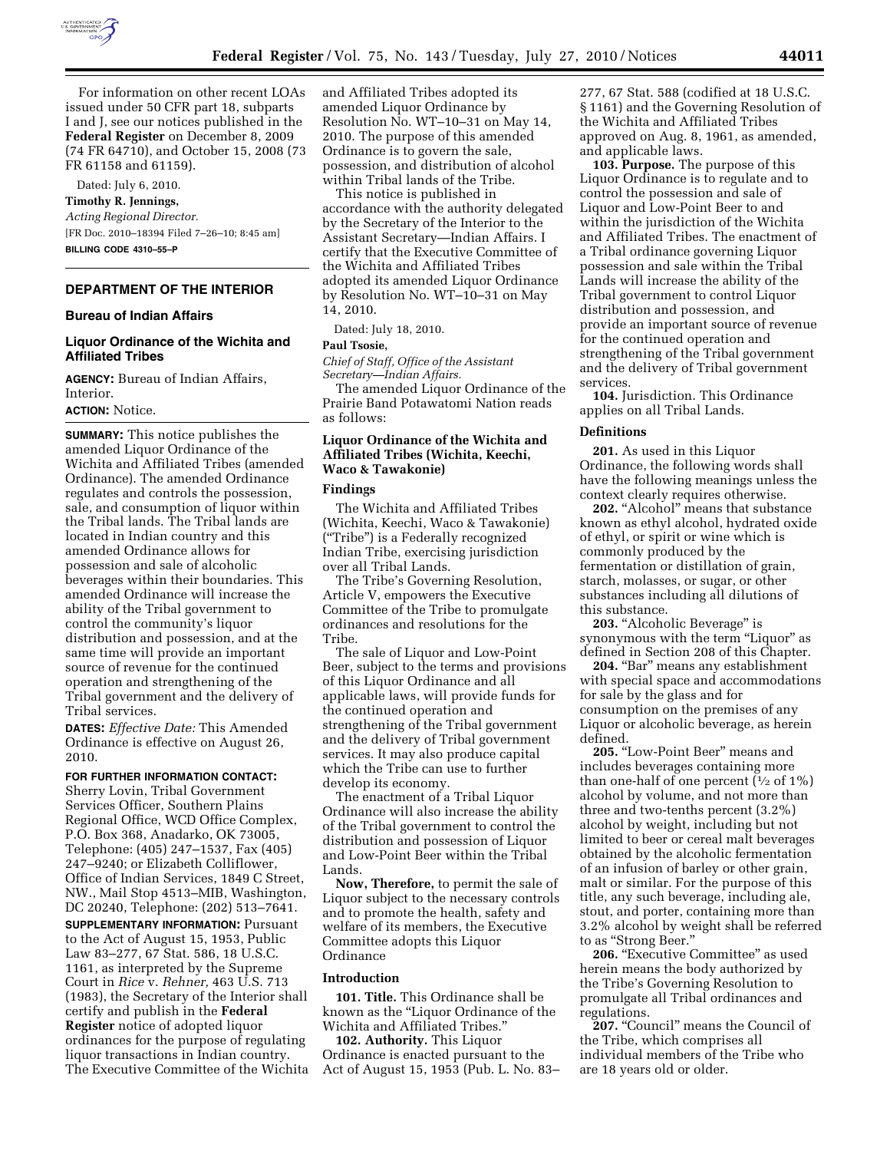

For information on other recent LOAs issued under 50 CFR part 18, subparts I and J, see our notices published in the **Federal Register** on December 8, 2009 (74 FR 64710), and October 15, 2008 (73 FR 61158 and 61159).

Dated: July 6, 2010.

### **Timothy R. Jennings,**

*Acting Regional Director.*  [FR Doc. 2010–18394 Filed 7–26–10; 8:45 am] **BILLING CODE 4310–55–P** 

## **DEPARTMENT OF THE INTERIOR**

### **Bureau of Indian Affairs**

## **Liquor Ordinance of the Wichita and Affiliated Tribes**

**AGENCY:** Bureau of Indian Affairs, Interior.

### **ACTION:** Notice.

**SUMMARY:** This notice publishes the amended Liquor Ordinance of the Wichita and Affiliated Tribes (amended Ordinance). The amended Ordinance regulates and controls the possession, sale, and consumption of liquor within the Tribal lands. The Tribal lands are located in Indian country and this amended Ordinance allows for possession and sale of alcoholic beverages within their boundaries. This amended Ordinance will increase the ability of the Tribal government to control the community's liquor distribution and possession, and at the same time will provide an important source of revenue for the continued operation and strengthening of the Tribal government and the delivery of Tribal services.

**DATES:** *Effective Date:* This Amended Ordinance is effective on August 26, 2010.

### **FOR FURTHER INFORMATION CONTACT:**

Sherry Lovin, Tribal Government Services Officer, Southern Plains Regional Office, WCD Office Complex, P.O. Box 368, Anadarko, OK 73005, Telephone: (405) 247–1537, Fax (405) 247–9240; or Elizabeth Colliflower, Office of Indian Services, 1849 C Street, NW., Mail Stop 4513–MIB, Washington, DC 20240, Telephone: (202) 513–7641. **SUPPLEMENTARY INFORMATION:** Pursuant to the Act of August 15, 1953, Public Law 83–277, 67 Stat. 586, 18 U.S.C. 1161, as interpreted by the Supreme Court in *Rice* v. *Rehner,* 463 U.S. 713 (1983), the Secretary of the Interior shall certify and publish in the **Federal Register** notice of adopted liquor ordinances for the purpose of regulating liquor transactions in Indian country. The Executive Committee of the Wichita and Affiliated Tribes adopted its amended Liquor Ordinance by Resolution No. WT–10–31 on May 14, 2010. The purpose of this amended Ordinance is to govern the sale, possession, and distribution of alcohol within Tribal lands of the Tribe.

This notice is published in accordance with the authority delegated by the Secretary of the Interior to the Assistant Secretary—Indian Affairs. I certify that the Executive Committee of the Wichita and Affiliated Tribes adopted its amended Liquor Ordinance by Resolution No. WT–10–31 on May 14, 2010.

Dated: July 18, 2010.

### **Paul Tsosie,**

*Chief of Staff, Office of the Assistant Secretary—Indian Affairs.* 

The amended Liquor Ordinance of the Prairie Band Potawatomi Nation reads as follows:

## **Liquor Ordinance of the Wichita and Affiliated Tribes (Wichita, Keechi, Waco & Tawakonie)**

### **Findings**

The Wichita and Affiliated Tribes (Wichita, Keechi, Waco & Tawakonie) (''Tribe'') is a Federally recognized Indian Tribe, exercising jurisdiction over all Tribal Lands.

The Tribe's Governing Resolution, Article V, empowers the Executive Committee of the Tribe to promulgate ordinances and resolutions for the Tribe.

The sale of Liquor and Low-Point Beer, subject to the terms and provisions of this Liquor Ordinance and all applicable laws, will provide funds for the continued operation and strengthening of the Tribal government and the delivery of Tribal government services. It may also produce capital which the Tribe can use to further develop its economy.

The enactment of a Tribal Liquor Ordinance will also increase the ability of the Tribal government to control the distribution and possession of Liquor and Low-Point Beer within the Tribal Lands.

**Now, Therefore,** to permit the sale of Liquor subject to the necessary controls and to promote the health, safety and welfare of its members, the Executive Committee adopts this Liquor Ordinance

#### **Introduction**

**101. Title.** This Ordinance shall be known as the ''Liquor Ordinance of the Wichita and Affiliated Tribes.''

**102. Authority.** This Liquor Ordinance is enacted pursuant to the Act of August 15, 1953 (Pub. L. No. 83–

277, 67 Stat. 588 (codified at 18 U.S.C. § 1161) and the Governing Resolution of the Wichita and Affiliated Tribes approved on Aug. 8, 1961, as amended, and applicable laws.

**103. Purpose.** The purpose of this Liquor Ordinance is to regulate and to control the possession and sale of Liquor and Low-Point Beer to and within the jurisdiction of the Wichita and Affiliated Tribes. The enactment of a Tribal ordinance governing Liquor possession and sale within the Tribal Lands will increase the ability of the Tribal government to control Liquor distribution and possession, and provide an important source of revenue for the continued operation and strengthening of the Tribal government and the delivery of Tribal government services.

**104.** Jurisdiction. This Ordinance applies on all Tribal Lands.

### **Definitions**

**201.** As used in this Liquor Ordinance, the following words shall have the following meanings unless the context clearly requires otherwise.

**202.** "Alcohol" means that substance known as ethyl alcohol, hydrated oxide of ethyl, or spirit or wine which is commonly produced by the fermentation or distillation of grain, starch, molasses, or sugar, or other substances including all dilutions of this substance.

**203.** "Alcoholic Beverage" is synonymous with the term "Liquor" as defined in Section 208 of this Chapter.

204. "Bar" means any establishment with special space and accommodations for sale by the glass and for consumption on the premises of any Liquor or alcoholic beverage, as herein defined.

205. "Low-Point Beer" means and includes beverages containing more than one-half of one percent  $(1/2)$  of  $1\%$ ) alcohol by volume, and not more than three and two-tenths percent (3.2%) alcohol by weight, including but not limited to beer or cereal malt beverages obtained by the alcoholic fermentation of an infusion of barley or other grain, malt or similar. For the purpose of this title, any such beverage, including ale, stout, and porter, containing more than 3.2% alcohol by weight shall be referred to as ''Strong Beer.''

**206.** "Executive Committee" as used herein means the body authorized by the Tribe's Governing Resolution to promulgate all Tribal ordinances and regulations.

**207.** "Council" means the Council of the Tribe, which comprises all individual members of the Tribe who are 18 years old or older.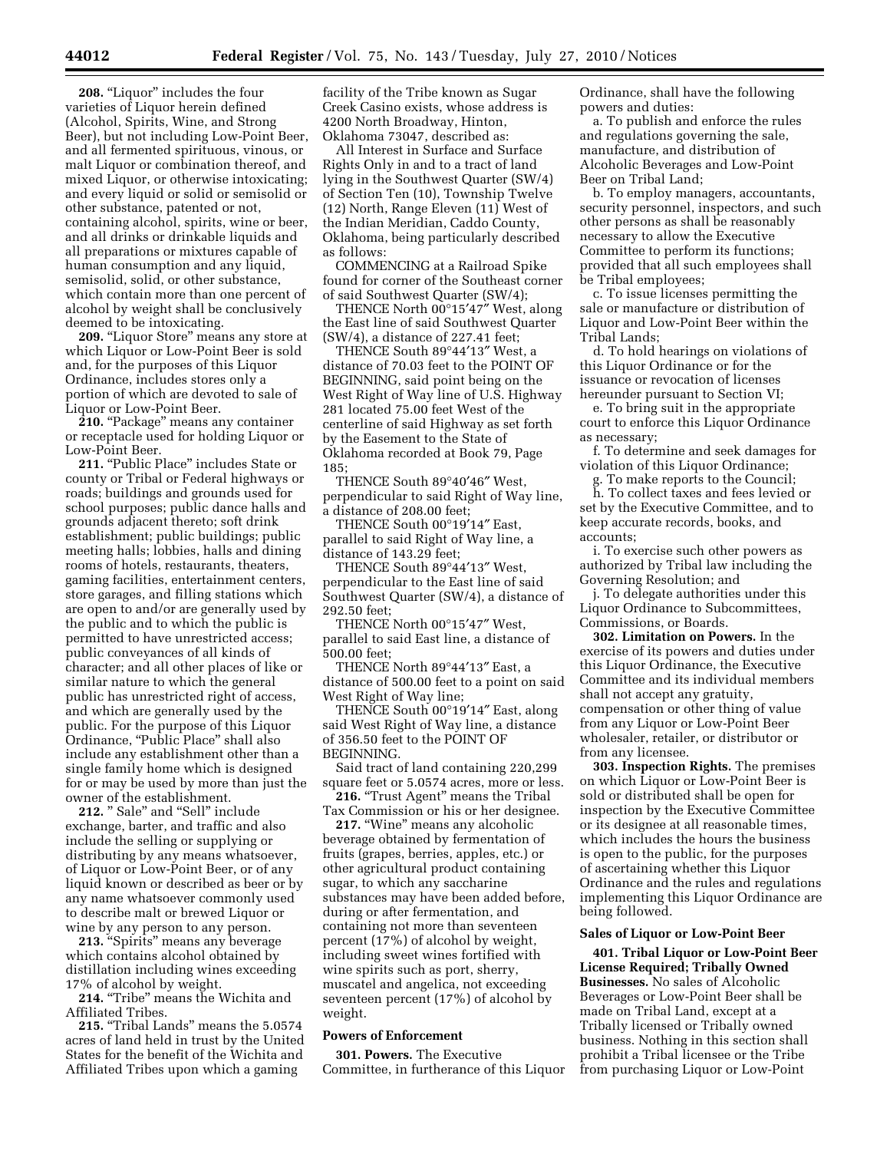**208.** "Liquor" includes the four varieties of Liquor herein defined (Alcohol, Spirits, Wine, and Strong Beer), but not including Low-Point Beer, and all fermented spirituous, vinous, or malt Liquor or combination thereof, and mixed Liquor, or otherwise intoxicating; and every liquid or solid or semisolid or other substance, patented or not, containing alcohol, spirits, wine or beer, and all drinks or drinkable liquids and all preparations or mixtures capable of human consumption and any liquid, semisolid, solid, or other substance, which contain more than one percent of alcohol by weight shall be conclusively deemed to be intoxicating.

209. "Liquor Store" means any store at which Liquor or Low-Point Beer is sold and, for the purposes of this Liquor Ordinance, includes stores only a portion of which are devoted to sale of Liquor or Low-Point Beer.

**210. 'Package'' means any container** or receptacle used for holding Liquor or Low-Point Beer.

211. "Public Place" includes State or county or Tribal or Federal highways or roads; buildings and grounds used for school purposes; public dance halls and grounds adjacent thereto; soft drink establishment; public buildings; public meeting halls; lobbies, halls and dining rooms of hotels, restaurants, theaters, gaming facilities, entertainment centers, store garages, and filling stations which are open to and/or are generally used by the public and to which the public is permitted to have unrestricted access; public conveyances of all kinds of character; and all other places of like or similar nature to which the general public has unrestricted right of access, and which are generally used by the public. For the purpose of this Liquor Ordinance, "Public Place" shall also include any establishment other than a single family home which is designed for or may be used by more than just the owner of the establishment.

212. " Sale" and "Sell" include exchange, barter, and traffic and also include the selling or supplying or distributing by any means whatsoever, of Liquor or Low-Point Beer, or of any liquid known or described as beer or by any name whatsoever commonly used to describe malt or brewed Liquor or wine by any person to any person.

213. "Spirits" means any beverage which contains alcohol obtained by distillation including wines exceeding 17% of alcohol by weight.

**214.** ''Tribe'' means the Wichita and Affiliated Tribes.

**215.** "Tribal Lands" means the 5.0574 acres of land held in trust by the United States for the benefit of the Wichita and Affiliated Tribes upon which a gaming

facility of the Tribe known as Sugar Creek Casino exists, whose address is 4200 North Broadway, Hinton, Oklahoma 73047, described as:

All Interest in Surface and Surface Rights Only in and to a tract of land lying in the Southwest Quarter (SW/4) of Section Ten (10), Township Twelve (12) North, Range Eleven (11) West of the Indian Meridian, Caddo County, Oklahoma, being particularly described as follows:

COMMENCING at a Railroad Spike found for corner of the Southeast corner of said Southwest Quarter (SW/4);

THENCE North 00°15′47″ West, along the East line of said Southwest Quarter (SW/4), a distance of 227.41 feet;

THENCE South 89°44′13″ West, a distance of 70.03 feet to the POINT OF BEGINNING, said point being on the West Right of Way line of U.S. Highway 281 located 75.00 feet West of the centerline of said Highway as set forth by the Easement to the State of Oklahoma recorded at Book 79, Page 185;

THENCE South 89°40′46″ West, perpendicular to said Right of Way line, a distance of 208.00 feet;

THENCE South 00°19′14″ East, parallel to said Right of Way line, a distance of 143.29 feet;

THENCE South 89°44′13″ West, perpendicular to the East line of said Southwest Quarter (SW/4), a distance of 292.50 feet;

THENCE North 00°15′47″ West, parallel to said East line, a distance of 500.00 feet;

THENCE North 89°44′13″ East, a distance of 500.00 feet to a point on said West Right of Way line;

THENCE South 00°19′14″ East, along said West Right of Way line, a distance of 356.50 feet to the POINT OF BEGINNING.

Said tract of land containing 220,299 square feet or 5.0574 acres, more or less. **216.** "Trust Agent" means the Tribal

Tax Commission or his or her designee.

**217.** "Wine" means any alcoholic beverage obtained by fermentation of fruits (grapes, berries, apples, etc.) or other agricultural product containing sugar, to which any saccharine substances may have been added before, during or after fermentation, and containing not more than seventeen percent (17%) of alcohol by weight, including sweet wines fortified with wine spirits such as port, sherry, muscatel and angelica, not exceeding seventeen percent (17%) of alcohol by weight.

### **Powers of Enforcement**

**301. Powers.** The Executive Committee, in furtherance of this Liquor Ordinance, shall have the following powers and duties:

a. To publish and enforce the rules and regulations governing the sale, manufacture, and distribution of Alcoholic Beverages and Low-Point Beer on Tribal Land;

b. To employ managers, accountants, security personnel, inspectors, and such other persons as shall be reasonably necessary to allow the Executive Committee to perform its functions; provided that all such employees shall be Tribal employees;

c. To issue licenses permitting the sale or manufacture or distribution of Liquor and Low-Point Beer within the Tribal Lands;

d. To hold hearings on violations of this Liquor Ordinance or for the issuance or revocation of licenses hereunder pursuant to Section VI;

e. To bring suit in the appropriate court to enforce this Liquor Ordinance as necessary;

f. To determine and seek damages for violation of this Liquor Ordinance;

g. To make reports to the Council;

h. To collect taxes and fees levied or set by the Executive Committee, and to keep accurate records, books, and accounts;

i. To exercise such other powers as authorized by Tribal law including the Governing Resolution; and

j. To delegate authorities under this Liquor Ordinance to Subcommittees, Commissions, or Boards.

**302. Limitation on Powers.** In the exercise of its powers and duties under this Liquor Ordinance, the Executive Committee and its individual members shall not accept any gratuity, compensation or other thing of value from any Liquor or Low-Point Beer wholesaler, retailer, or distributor or from any licensee.

**303. Inspection Rights.** The premises on which Liquor or Low-Point Beer is sold or distributed shall be open for inspection by the Executive Committee or its designee at all reasonable times, which includes the hours the business is open to the public, for the purposes of ascertaining whether this Liquor Ordinance and the rules and regulations implementing this Liquor Ordinance are being followed.

### **Sales of Liquor or Low-Point Beer**

**401. Tribal Liquor or Low-Point Beer License Required; Tribally Owned Businesses.** No sales of Alcoholic Beverages or Low-Point Beer shall be made on Tribal Land, except at a Tribally licensed or Tribally owned business. Nothing in this section shall prohibit a Tribal licensee or the Tribe from purchasing Liquor or Low-Point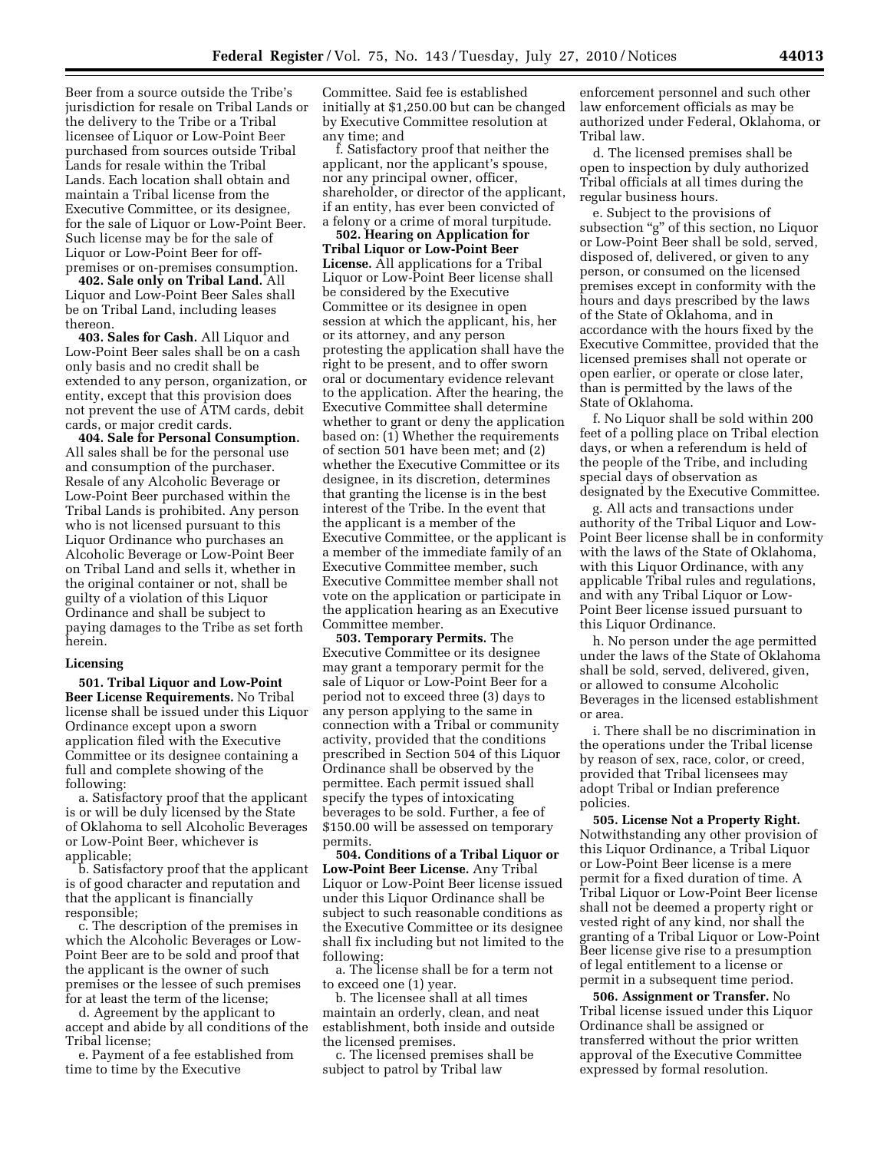Beer from a source outside the Tribe's jurisdiction for resale on Tribal Lands or the delivery to the Tribe or a Tribal licensee of Liquor or Low-Point Beer purchased from sources outside Tribal Lands for resale within the Tribal Lands. Each location shall obtain and maintain a Tribal license from the Executive Committee, or its designee, for the sale of Liquor or Low-Point Beer. Such license may be for the sale of Liquor or Low-Point Beer for offpremises or on-premises consumption.

**402. Sale only on Tribal Land.** All Liquor and Low-Point Beer Sales shall be on Tribal Land, including leases thereon.

**403. Sales for Cash.** All Liquor and Low-Point Beer sales shall be on a cash only basis and no credit shall be extended to any person, organization, or entity, except that this provision does not prevent the use of ATM cards, debit cards, or major credit cards.

**404. Sale for Personal Consumption.**  All sales shall be for the personal use and consumption of the purchaser. Resale of any Alcoholic Beverage or Low-Point Beer purchased within the Tribal Lands is prohibited. Any person who is not licensed pursuant to this Liquor Ordinance who purchases an Alcoholic Beverage or Low-Point Beer on Tribal Land and sells it, whether in the original container or not, shall be guilty of a violation of this Liquor Ordinance and shall be subject to paying damages to the Tribe as set forth herein.

## **Licensing**

**501. Tribal Liquor and Low-Point Beer License Requirements.** No Tribal license shall be issued under this Liquor Ordinance except upon a sworn application filed with the Executive Committee or its designee containing a full and complete showing of the following:

a. Satisfactory proof that the applicant is or will be duly licensed by the State of Oklahoma to sell Alcoholic Beverages or Low-Point Beer, whichever is applicable;

b. Satisfactory proof that the applicant is of good character and reputation and that the applicant is financially responsible;

c. The description of the premises in which the Alcoholic Beverages or Low-Point Beer are to be sold and proof that the applicant is the owner of such premises or the lessee of such premises for at least the term of the license;

d. Agreement by the applicant to accept and abide by all conditions of the Tribal license;

e. Payment of a fee established from time to time by the Executive

Committee. Said fee is established initially at \$1,250.00 but can be changed by Executive Committee resolution at any time; and

f. Satisfactory proof that neither the applicant, nor the applicant's spouse, nor any principal owner, officer, shareholder, or director of the applicant, if an entity, has ever been convicted of a felony or a crime of moral turpitude.

**502. Hearing on Application for Tribal Liquor or Low-Point Beer License.** All applications for a Tribal Liquor or Low-Point Beer license shall be considered by the Executive Committee or its designee in open session at which the applicant, his, her or its attorney, and any person protesting the application shall have the right to be present, and to offer sworn oral or documentary evidence relevant to the application. After the hearing, the Executive Committee shall determine whether to grant or deny the application based on: (1) Whether the requirements of section 501 have been met; and (2) whether the Executive Committee or its designee, in its discretion, determines that granting the license is in the best interest of the Tribe. In the event that the applicant is a member of the Executive Committee, or the applicant is a member of the immediate family of an Executive Committee member, such Executive Committee member shall not vote on the application or participate in the application hearing as an Executive Committee member.

**503. Temporary Permits.** The Executive Committee or its designee may grant a temporary permit for the sale of Liquor or Low-Point Beer for a period not to exceed three (3) days to any person applying to the same in connection with a Tribal or community activity, provided that the conditions prescribed in Section 504 of this Liquor Ordinance shall be observed by the permittee. Each permit issued shall specify the types of intoxicating beverages to be sold. Further, a fee of \$150.00 will be assessed on temporary permits.

**504. Conditions of a Tribal Liquor or Low-Point Beer License.** Any Tribal Liquor or Low-Point Beer license issued under this Liquor Ordinance shall be subject to such reasonable conditions as the Executive Committee or its designee shall fix including but not limited to the following:

a. The license shall be for a term not to exceed one (1) year.

b. The licensee shall at all times maintain an orderly, clean, and neat establishment, both inside and outside the licensed premises.

c. The licensed premises shall be subject to patrol by Tribal law

enforcement personnel and such other law enforcement officials as may be authorized under Federal, Oklahoma, or Tribal law.

d. The licensed premises shall be open to inspection by duly authorized Tribal officials at all times during the regular business hours.

e. Subject to the provisions of subsection "g" of this section, no Liquor or Low-Point Beer shall be sold, served, disposed of, delivered, or given to any person, or consumed on the licensed premises except in conformity with the hours and days prescribed by the laws of the State of Oklahoma, and in accordance with the hours fixed by the Executive Committee, provided that the licensed premises shall not operate or open earlier, or operate or close later, than is permitted by the laws of the State of Oklahoma.

f. No Liquor shall be sold within 200 feet of a polling place on Tribal election days, or when a referendum is held of the people of the Tribe, and including special days of observation as designated by the Executive Committee.

g. All acts and transactions under authority of the Tribal Liquor and Low-Point Beer license shall be in conformity with the laws of the State of Oklahoma, with this Liquor Ordinance, with any applicable Tribal rules and regulations, and with any Tribal Liquor or Low-Point Beer license issued pursuant to this Liquor Ordinance.

h. No person under the age permitted under the laws of the State of Oklahoma shall be sold, served, delivered, given, or allowed to consume Alcoholic Beverages in the licensed establishment or area.

i. There shall be no discrimination in the operations under the Tribal license by reason of sex, race, color, or creed, provided that Tribal licensees may adopt Tribal or Indian preference policies.

**505. License Not a Property Right.**  Notwithstanding any other provision of this Liquor Ordinance, a Tribal Liquor or Low-Point Beer license is a mere permit for a fixed duration of time. A Tribal Liquor or Low-Point Beer license shall not be deemed a property right or vested right of any kind, nor shall the granting of a Tribal Liquor or Low-Point Beer license give rise to a presumption of legal entitlement to a license or permit in a subsequent time period.

**506. Assignment or Transfer.** No Tribal license issued under this Liquor Ordinance shall be assigned or transferred without the prior written approval of the Executive Committee expressed by formal resolution.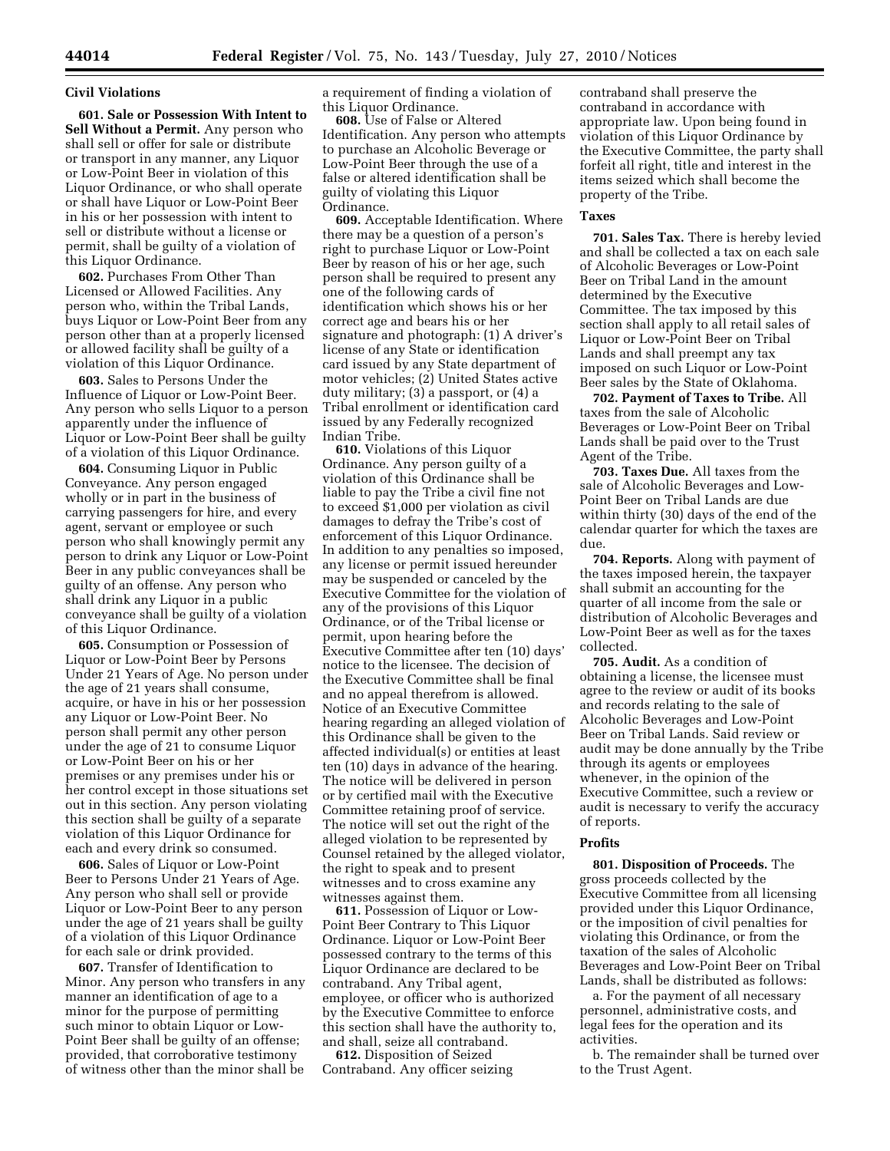### **Civil Violations**

**601. Sale or Possession With Intent to Sell Without a Permit.** Any person who shall sell or offer for sale or distribute or transport in any manner, any Liquor or Low-Point Beer in violation of this Liquor Ordinance, or who shall operate or shall have Liquor or Low-Point Beer in his or her possession with intent to sell or distribute without a license or permit, shall be guilty of a violation of this Liquor Ordinance.

**602.** Purchases From Other Than Licensed or Allowed Facilities. Any person who, within the Tribal Lands, buys Liquor or Low-Point Beer from any person other than at a properly licensed or allowed facility shall be guilty of a violation of this Liquor Ordinance.

**603.** Sales to Persons Under the Influence of Liquor or Low-Point Beer. Any person who sells Liquor to a person apparently under the influence of Liquor or Low-Point Beer shall be guilty of a violation of this Liquor Ordinance.

**604.** Consuming Liquor in Public Conveyance. Any person engaged wholly or in part in the business of carrying passengers for hire, and every agent, servant or employee or such person who shall knowingly permit any person to drink any Liquor or Low-Point Beer in any public conveyances shall be guilty of an offense. Any person who shall drink any Liquor in a public conveyance shall be guilty of a violation of this Liquor Ordinance.

**605.** Consumption or Possession of Liquor or Low-Point Beer by Persons Under 21 Years of Age. No person under the age of 21 years shall consume, acquire, or have in his or her possession any Liquor or Low-Point Beer. No person shall permit any other person under the age of 21 to consume Liquor or Low-Point Beer on his or her premises or any premises under his or her control except in those situations set out in this section. Any person violating this section shall be guilty of a separate violation of this Liquor Ordinance for each and every drink so consumed.

**606.** Sales of Liquor or Low-Point Beer to Persons Under 21 Years of Age. Any person who shall sell or provide Liquor or Low-Point Beer to any person under the age of 21 years shall be guilty of a violation of this Liquor Ordinance for each sale or drink provided.

**607.** Transfer of Identification to Minor. Any person who transfers in any manner an identification of age to a minor for the purpose of permitting such minor to obtain Liquor or Low-Point Beer shall be guilty of an offense; provided, that corroborative testimony of witness other than the minor shall be a requirement of finding a violation of this Liquor Ordinance.

**608.** Use of False or Altered Identification. Any person who attempts to purchase an Alcoholic Beverage or Low-Point Beer through the use of a false or altered identification shall be guilty of violating this Liquor Ordinance.

**609.** Acceptable Identification. Where there may be a question of a person's right to purchase Liquor or Low-Point Beer by reason of his or her age, such person shall be required to present any one of the following cards of identification which shows his or her correct age and bears his or her signature and photograph: (1) A driver's license of any State or identification card issued by any State department of motor vehicles; (2) United States active duty military; (3) a passport, or (4) a Tribal enrollment or identification card issued by any Federally recognized Indian Tribe.

**610.** Violations of this Liquor Ordinance. Any person guilty of a violation of this Ordinance shall be liable to pay the Tribe a civil fine not to exceed \$1,000 per violation as civil damages to defray the Tribe's cost of enforcement of this Liquor Ordinance. In addition to any penalties so imposed, any license or permit issued hereunder may be suspended or canceled by the Executive Committee for the violation of any of the provisions of this Liquor Ordinance, or of the Tribal license or permit, upon hearing before the Executive Committee after ten (10) days' notice to the licensee. The decision of the Executive Committee shall be final and no appeal therefrom is allowed. Notice of an Executive Committee hearing regarding an alleged violation of this Ordinance shall be given to the affected individual(s) or entities at least ten (10) days in advance of the hearing. The notice will be delivered in person or by certified mail with the Executive Committee retaining proof of service. The notice will set out the right of the alleged violation to be represented by Counsel retained by the alleged violator, the right to speak and to present witnesses and to cross examine any witnesses against them.

**611.** Possession of Liquor or Low-Point Beer Contrary to This Liquor Ordinance. Liquor or Low-Point Beer possessed contrary to the terms of this Liquor Ordinance are declared to be contraband. Any Tribal agent, employee, or officer who is authorized by the Executive Committee to enforce this section shall have the authority to, and shall, seize all contraband.

**612.** Disposition of Seized Contraband. Any officer seizing

contraband shall preserve the contraband in accordance with appropriate law. Upon being found in violation of this Liquor Ordinance by the Executive Committee, the party shall forfeit all right, title and interest in the items seized which shall become the property of the Tribe.

#### **Taxes**

**701. Sales Tax.** There is hereby levied and shall be collected a tax on each sale of Alcoholic Beverages or Low-Point Beer on Tribal Land in the amount determined by the Executive Committee. The tax imposed by this section shall apply to all retail sales of Liquor or Low-Point Beer on Tribal Lands and shall preempt any tax imposed on such Liquor or Low-Point Beer sales by the State of Oklahoma.

**702. Payment of Taxes to Tribe.** All taxes from the sale of Alcoholic Beverages or Low-Point Beer on Tribal Lands shall be paid over to the Trust Agent of the Tribe.

**703. Taxes Due.** All taxes from the sale of Alcoholic Beverages and Low-Point Beer on Tribal Lands are due within thirty (30) days of the end of the calendar quarter for which the taxes are due.

**704. Reports.** Along with payment of the taxes imposed herein, the taxpayer shall submit an accounting for the quarter of all income from the sale or distribution of Alcoholic Beverages and Low-Point Beer as well as for the taxes collected.

**705. Audit.** As a condition of obtaining a license, the licensee must agree to the review or audit of its books and records relating to the sale of Alcoholic Beverages and Low-Point Beer on Tribal Lands. Said review or audit may be done annually by the Tribe through its agents or employees whenever, in the opinion of the Executive Committee, such a review or audit is necessary to verify the accuracy of reports.

#### **Profits**

**801. Disposition of Proceeds.** The gross proceeds collected by the Executive Committee from all licensing provided under this Liquor Ordinance, or the imposition of civil penalties for violating this Ordinance, or from the taxation of the sales of Alcoholic Beverages and Low-Point Beer on Tribal Lands, shall be distributed as follows:

a. For the payment of all necessary personnel, administrative costs, and legal fees for the operation and its activities.

b. The remainder shall be turned over to the Trust Agent.